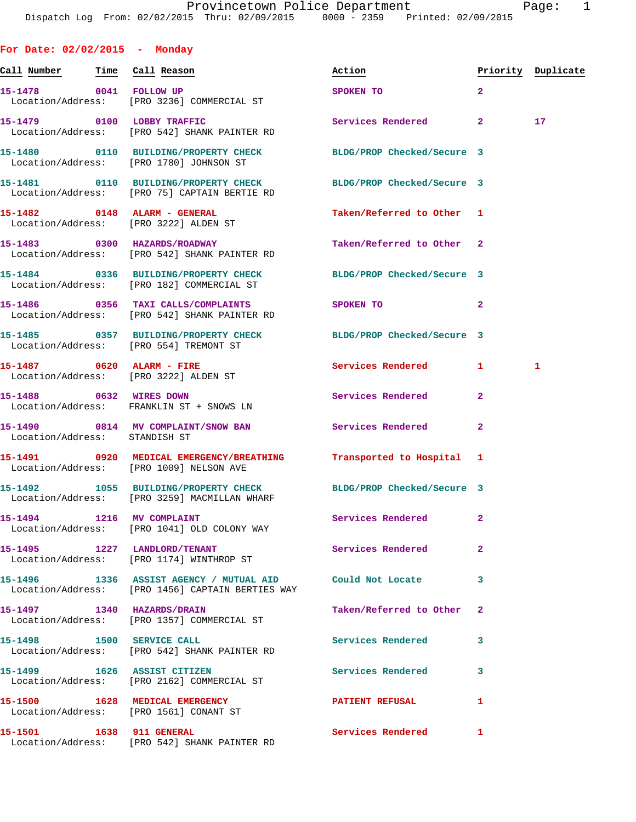**For Date: 02/02/2015 - Monday Call Number Time Call Reason Action Priority Duplicate 15-1478 0041 FOLLOW UP SPOKEN TO 2**  Location/Address: [PRO 3236] COMMERCIAL ST **15-1479 0100 LOBBY TRAFFIC Services Rendered 2 17**  Location/Address: [PRO 542] SHANK PAINTER RD **15-1480 0110 BUILDING/PROPERTY CHECK BLDG/PROP Checked/Secure 3**  Location/Address: [PRO 1780] JOHNSON ST **15-1481 0110 BUILDING/PROPERTY CHECK BLDG/PROP Checked/Secure 3**  Location/Address: [PRO 75] CAPTAIN BERTIE RD **15-1482 0148 ALARM - GENERAL Taken/Referred to Other 1**  Location/Address: [PRO 3222] ALDEN ST **15-1483 0300 HAZARDS/ROADWAY Taken/Referred to Other 2**  Location/Address: [PRO 542] SHANK PAINTER RD **15-1484 0336 BUILDING/PROPERTY CHECK BLDG/PROP Checked/Secure 3**  Location/Address: [PRO 182] COMMERCIAL ST **15-1486 0356 TAXI CALLS/COMPLAINTS SPOKEN TO 2**  Location/Address: [PRO 542] SHANK PAINTER RD **15-1485 0357 BUILDING/PROPERTY CHECK BLDG/PROP Checked/Secure 3**  Location/Address: [PRO 554] TREMONT ST **15-1487 0620 ALARM - FIRE Services Rendered 1 1**  Location/Address: [PRO 3222] ALDEN ST **15-1488 0632 WIRES DOWN Services Rendered 2**  Location/Address: FRANKLIN ST + SNOWS LN **15-1490 0814 MV COMPLAINT/SNOW BAN Services Rendered 2**  Location/Address: STANDISH ST **15-1491 0920 MEDICAL EMERGENCY/BREATHING Transported to Hospital 1**  Location/Address: [PRO 1009] NELSON AVE **15-1492 1055 BUILDING/PROPERTY CHECK BLDG/PROP Checked/Secure 3**  Location/Address: [PRO 3259] MACMILLAN WHARF **15-1494 1216 MV COMPLAINT Services Rendered 2**  Location/Address: [PRO 1041] OLD COLONY WAY **15-1495 1227 LANDLORD/TENANT Services Rendered 2**  Location/Address: [PRO 1174] WINTHROP ST **15-1496 1336 ASSIST AGENCY / MUTUAL AID Could Not Locate 3**  Location/Address: [PRO 1456] CAPTAIN BERTIES WAY **15-1497 1340 HAZARDS/DRAIN Taken/Referred to Other 2**  Location/Address: [PRO 1357] COMMERCIAL ST **15-1498 1500 SERVICE CALL Services Rendered 3**  Location/Address: [PRO 542] SHANK PAINTER RD **15-1499 1626 ASSIST CITIZEN Services Rendered 3**  Location/Address: [PRO 2162] COMMERCIAL ST **15-1500 1628 MEDICAL EMERGENCY PATIENT REFUSAL 1**  Location/Address: [PRO 1561] CONANT ST **15-1501 1638 911 GENERAL Services Rendered 1** 

Location/Address: [PRO 542] SHANK PAINTER RD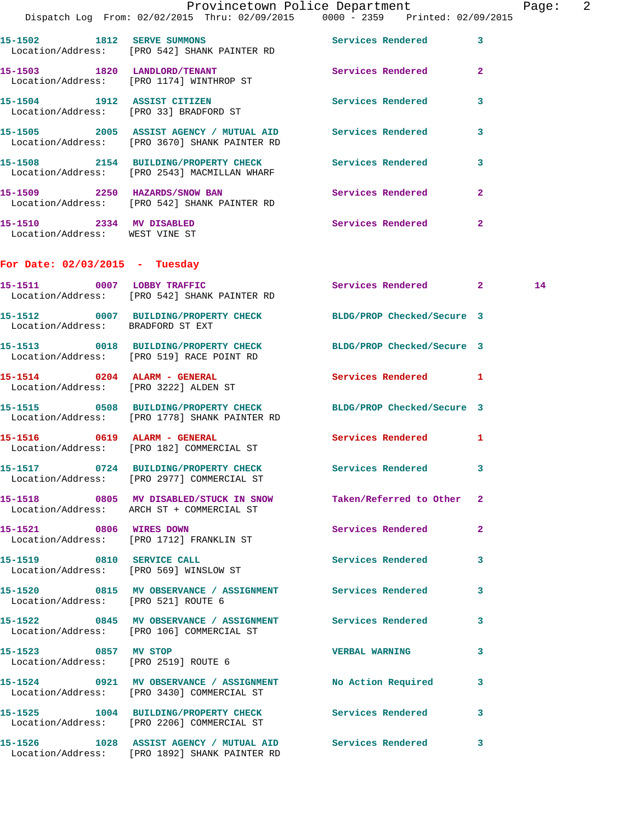|                                                            | Dispatch Log From: 02/02/2015 Thru: 02/09/2015 0000 - 2359 Printed: 02/09/2015                                   | Provincetown Police Department |              | Page: 2 |  |
|------------------------------------------------------------|------------------------------------------------------------------------------------------------------------------|--------------------------------|--------------|---------|--|
|                                                            | 15-1502 1812 SERVE SUMMONS                                                                                       | Services Rendered              | $\mathbf{3}$ |         |  |
|                                                            | Location/Address: [PRO 542] SHANK PAINTER RD<br>15-1503 1820 LANDLORD/TENANT                                     | Services Rendered              | $\mathbf{2}$ |         |  |
|                                                            | Location/Address: [PRO 1174] WINTHROP ST                                                                         |                                |              |         |  |
|                                                            | 15-1504 1912 ASSIST CITIZEN<br>Location/Address: [PRO 33] BRADFORD ST                                            | Services Rendered              | 3            |         |  |
|                                                            | 15-1505 2005 ASSIST AGENCY / MUTUAL AID Services Rendered<br>Location/Address: [PRO 3670] SHANK PAINTER RD       |                                | 3            |         |  |
|                                                            | 15-1508 2154 BUILDING/PROPERTY CHECK<br>Location/Address: [PRO 2543] MACMILLAN WHARF                             | Services Rendered              | 3            |         |  |
|                                                            | 15-1509 2250 HAZARDS/SNOW BAN<br>Location/Address: [PRO 542] SHANK PAINTER RD                                    | Services Rendered              | $\mathbf{2}$ |         |  |
| 15-1510 2334 MV DISABLED<br>Location/Address: WEST VINE ST |                                                                                                                  | Services Rendered              | $\mathbf{2}$ |         |  |
| For Date: $02/03/2015$ - Tuesday                           |                                                                                                                  |                                |              |         |  |
|                                                            | 15-1511 0007 LOBBY TRAFFIC<br>Location/Address: [PRO 542] SHANK PAINTER RD                                       | Services Rendered 2            |              | 14      |  |
| Location/Address: BRADFORD ST EXT                          | 15-1512 0007 BUILDING/PROPERTY CHECK BLDG/PROP Checked/Secure 3                                                  |                                |              |         |  |
|                                                            | 15-1513 0018 BUILDING/PROPERTY CHECK BLDG/PROP Checked/Secure 3<br>Location/Address: [PRO 519] RACE POINT RD     |                                |              |         |  |
| Location/Address: [PRO 3222] ALDEN ST                      | 15-1514 0204 ALARM - GENERAL                                                                                     | Services Rendered 1            |              |         |  |
|                                                            | 15-1515 0508 BUILDING/PROPERTY CHECK BLDG/PROP Checked/Secure 3<br>Location/Address: [PRO 1778] SHANK PAINTER RD |                                |              |         |  |
|                                                            | 15-1516 0619 ALARM - GENERAL<br>Location/Address: [PRO 182] COMMERCIAL ST                                        | Services Rendered 1            |              |         |  |
|                                                            | 15-1517 0724 BUILDING/PROPERTY CHECK<br>Location/Address: [PRO 2977] COMMERCIAL ST                               | Services Rendered 3            |              |         |  |
|                                                            | 15-1518 0805 MV DISABLED/STUCK IN SNOW Taken/Referred to Other 2<br>Location/Address: ARCH ST + COMMERCIAL ST    |                                |              |         |  |
| 15-1521 0806 WIRES DOWN                                    | Location/Address: [PRO 1712] FRANKLIN ST                                                                         | <b>Services Rendered</b>       | $\mathbf{2}$ |         |  |
|                                                            | 15-1519 0810 SERVICE CALL<br>Location/Address: [PRO 569] WINSLOW ST                                              | <b>Services Rendered</b>       | 3            |         |  |
| Location/Address: [PRO 521] ROUTE 6                        | 15-1520 0815 MV OBSERVANCE / ASSIGNMENT Services Rendered                                                        |                                | 3            |         |  |
|                                                            | 15-1522 0845 MV OBSERVANCE / ASSIGNMENT Services Rendered<br>Location/Address: [PRO 106] COMMERCIAL ST           |                                | 3            |         |  |
| 15-1523 0857 MV STOP                                       | Location/Address: [PRO 2519] ROUTE 6                                                                             | <b>VERBAL WARNING</b>          | 3            |         |  |
|                                                            | 15-1524 0921 MV OBSERVANCE / ASSIGNMENT No Action Required<br>Location/Address: [PRO 3430] COMMERCIAL ST         |                                | 3            |         |  |
|                                                            | 15-1525 1004 BUILDING/PROPERTY CHECK Services Rendered<br>Location/Address: [PRO 2206] COMMERCIAL ST             |                                | 3            |         |  |
|                                                            | 15-1526 1028 ASSIST AGENCY / MUTUAL AID Services Rendered<br>Location/Address: [PRO 1892] SHANK PAINTER RD       |                                | 3            |         |  |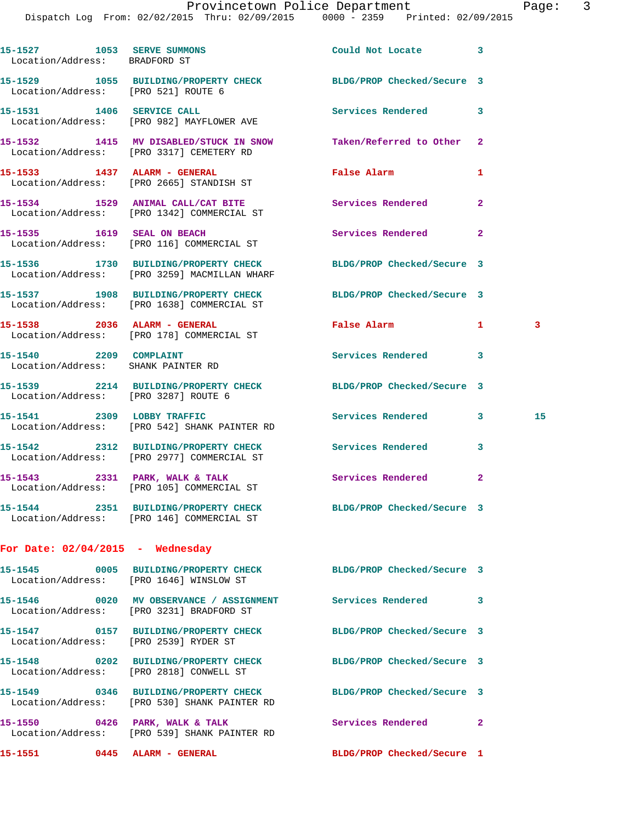|                                                             | Dispatch Log From: 02/02/2015 Thru: 02/09/2015 0000 - 2359 Printed: 02/09/2015                         |                            |              |    |
|-------------------------------------------------------------|--------------------------------------------------------------------------------------------------------|----------------------------|--------------|----|
| 15-1527 1053 SERVE SUMMONS<br>Location/Address: BRADFORD ST |                                                                                                        | Could Not Locate           | 3            |    |
|                                                             | 15-1529 1055 BUILDING/PROPERTY CHECK BLDG/PROP Checked/Secure 3<br>Location/Address: [PRO 521] ROUTE 6 |                            |              |    |
| 15-1531 1406 SERVICE CALL                                   | Location/Address: [PRO 982] MAYFLOWER AVE                                                              | Services Rendered          | 3            |    |
|                                                             | 15-1532 1415 MV DISABLED/STUCK IN SNOW<br>Location/Address: [PRO 3317] CEMETERY RD                     | Taken/Referred to Other    | $\mathbf{2}$ |    |
|                                                             | 15-1533 1437 ALARM - GENERAL<br>Location/Address: [PRO 2665] STANDISH ST                               | False Alarm                | 1            |    |
|                                                             | 15-1534 1529 ANIMAL CALL/CAT BITE<br>Location/Address: [PRO 1342] COMMERCIAL ST                        | <b>Services Rendered</b>   | $\mathbf{2}$ |    |
| 15-1535 1619 SEAL ON BEACH                                  | Location/Address: [PRO 116] COMMERCIAL ST                                                              | Services Rendered          | $\mathbf{2}$ |    |
|                                                             | 15-1536 1730 BUILDING/PROPERTY CHECK<br>Location/Address: [PRO 3259] MACMILLAN WHARF                   | BLDG/PROP Checked/Secure 3 |              |    |
|                                                             | 15-1537 1908 BUILDING/PROPERTY CHECK<br>Location/Address: [PRO 1638] COMMERCIAL ST                     | BLDG/PROP Checked/Secure 3 |              |    |
|                                                             | 15-1538 2036 ALARM - GENERAL<br>Location/Address: [PRO 178] COMMERCIAL ST                              | <b>False Alarm</b>         | 1            | 3  |
| 15-1540 2209 COMPLAINT                                      | Location/Address: SHANK PAINTER RD                                                                     | Services Rendered          | 3            |    |
|                                                             | 15-1539 2214 BUILDING/PROPERTY CHECK<br>Location/Address: [PRO 3287] ROUTE 6                           | BLDG/PROP Checked/Secure 3 |              |    |
| 15-1541 2309 LOBBY TRAFFIC                                  | Location/Address: [PRO 542] SHANK PAINTER RD                                                           | Services Rendered          | 3            | 15 |
|                                                             | 15-1542 2312 BUILDING/PROPERTY CHECK<br>Location/Address: [PRO 2977] COMMERCIAL ST                     | Services Rendered          | 3            |    |
|                                                             | 15-1543 2331 PARK, WALK & TALK<br>Location/Address: [PRO 105] COMMERCIAL ST                            | Services Rendered          | $\mathbf{2}$ |    |
|                                                             | 15-1544 2351 BUILDING/PROPERTY CHECK<br>Location/Address: [PRO 146] COMMERCIAL ST                      | BLDG/PROP Checked/Secure 3 |              |    |
| For Date: $02/04/2015$ - Wednesday                          |                                                                                                        |                            |              |    |
|                                                             | 15-1545 0005 BUILDING/PROPERTY CHECK<br>Location/Address: [PRO 1646] WINSLOW ST                        | BLDG/PROP Checked/Secure 3 |              |    |
|                                                             | 15-1546 0020 MV OBSERVANCE / ASSIGNMENT<br>Location/Address: [PRO 3231] BRADFORD ST                    | Services Rendered          | 3            |    |
|                                                             | 15-1547 0157 BUILDING/PROPERTY CHECK<br>Location/Address: [PRO 2539] RYDER ST                          | BLDG/PROP Checked/Secure 3 |              |    |
|                                                             | 15-1548 0202 BUILDING/PROPERTY CHECK<br>Location/Address: [PRO 2818] CONWELL ST                        | BLDG/PROP Checked/Secure 3 |              |    |
|                                                             | 15-1549 0346 BUILDING/PROPERTY CHECK<br>Location/Address: [PRO 530] SHANK PAINTER RD                   | BLDG/PROP Checked/Secure 3 |              |    |
|                                                             | 15-1550 0426 PARK, WALK & TALK<br>Location/Address: [PRO 539] SHANK PAINTER RD                         | Services Rendered          | $\mathbf{2}$ |    |
| 15-1551                                                     | 0445 ALARM - GENERAL                                                                                   | BLDG/PROP Checked/Secure 1 |              |    |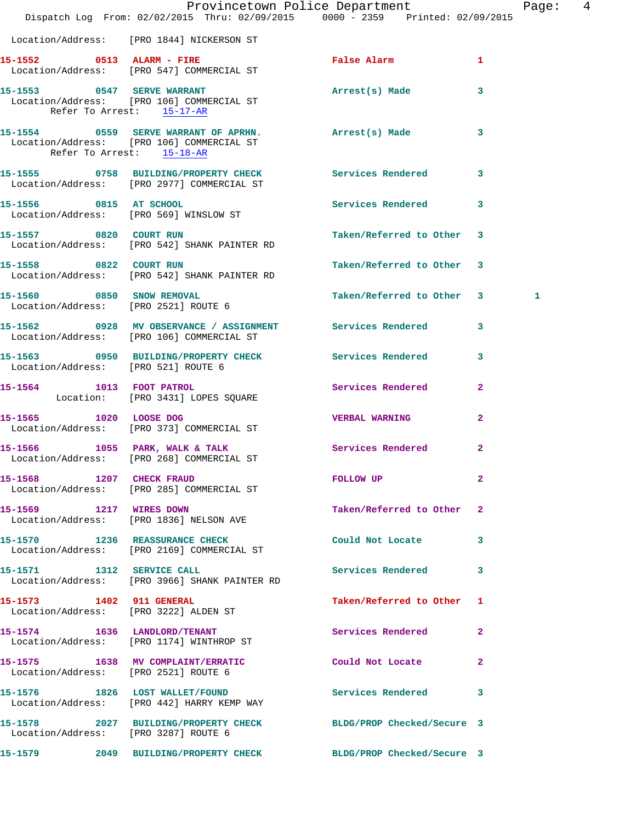|                                      | Provincetown Police Department<br>Dispatch Log From: 02/02/2015 Thru: 02/09/2015                0000 - 2359   Printed: 02/09/2015 |                           | Page: 4      |
|--------------------------------------|-----------------------------------------------------------------------------------------------------------------------------------|---------------------------|--------------|
|                                      | Location/Address: [PRO 1844] NICKERSON ST                                                                                         |                           |              |
|                                      | 15-1552 0513 ALARM - FIRE<br>Location/Address: [PRO 547] COMMERCIAL ST                                                            | False Alarm 1             |              |
| Refer To Arrest: 15-17-AR            | 15-1553 0547 SERVE WARRANT<br>Location/Address: [PRO 106] COMMERCIAL ST                                                           | Arrest(s) Made 3          |              |
|                                      | 15-1554 6559 SERVE WARRANT OF APRHN. Arrest(s) Made 3<br>Location/Address: [PRO 106] COMMERCIAL ST<br>Refer To Arrest: 15-18-AR   |                           |              |
|                                      | 15-1555 0758 BUILDING/PROPERTY CHECK Services Rendered 3<br>Location/Address: [PRO 2977] COMMERCIAL ST                            |                           |              |
| 15-1556 0815 AT SCHOOL               | Location/Address: [PRO 569] WINSLOW ST                                                                                            | Services Rendered 3       |              |
|                                      | 15-1557 0820 COURT RUN<br>Location/Address: [PRO 542] SHANK PAINTER RD                                                            | Taken/Referred to Other 3 |              |
| 15-1558 0822 COURT RUN               | Location/Address: [PRO 542] SHANK PAINTER RD                                                                                      | Taken/Referred to Other 3 |              |
| Location/Address: [PRO 2521] ROUTE 6 | 15-1560 0850 SNOW REMOVAL                                                                                                         | Taken/Referred to Other 3 | 1            |
|                                      | 15-1562 0928 MV OBSERVANCE / ASSIGNMENT Services Rendered 3<br>Location/Address: [PRO 106] COMMERCIAL ST                          |                           |              |
|                                      | 15-1563 0950 BUILDING/PROPERTY CHECK Services Rendered 3<br>Location/Address: [PRO 521] ROUTE 6                                   |                           |              |
|                                      | 15-1564 1013 FOOT PATROL<br>Location: [PRO 3431] LOPES SQUARE                                                                     | Services Rendered         | $\mathbf{2}$ |
|                                      | 15-1565 1020 LOOSE DOG<br>Location/Address: [PRO 373] COMMERCIAL ST                                                               | <b>VERBAL WARNING</b>     | $\mathbf{2}$ |
|                                      | 15-1566 1055 PARK, WALK & TALK 1988 Services Rendered 2<br>Location/Address: [PRO 268] COMMERCIAL ST                              |                           |              |
|                                      | 15-1568 1207 CHECK FRAUD<br>Location/Address: [PRO 285] COMMERCIAL ST                                                             | <b>FOLLOW UP</b>          | $\mathbf{2}$ |
| 15-1569 1217 WIRES DOWN              | Location/Address: [PRO 1836] NELSON AVE                                                                                           | Taken/Referred to Other 2 |              |
|                                      | 15-1570 1236 REASSURANCE CHECK<br>Location/Address: [PRO 2169] COMMERCIAL ST                                                      | Could Not Locate 3        |              |
| 15-1571 1312 SERVICE CALL            | Location/Address: [PRO 3966] SHANK PAINTER RD                                                                                     | Services Rendered 3       |              |
|                                      | 15-1573 1402 911 GENERAL<br>Location/Address: [PRO 3222] ALDEN ST                                                                 | Taken/Referred to Other 1 |              |
|                                      | 15-1574 1636 LANDLORD/TENANT<br>Location/Address: [PRO 1174] WINTHROP ST                                                          | Services Rendered 2       |              |
|                                      | 15-1575 1638 MV COMPLAINT/ERRATIC<br>Location/Address: [PRO 2521] ROUTE 6                                                         | Could Not Locate 2        |              |
|                                      | 15-1576 1826 LOST WALLET/FOUND<br>Location/Address: [PRO 442] HARRY KEMP WAY                                                      | Services Rendered 3       |              |
| Location/Address: [PRO 3287] ROUTE 6 | 15-1578 2027 BUILDING/PROPERTY CHECK BLDG/PROP Checked/Secure 3                                                                   |                           |              |
|                                      | 15-1579 2049 BUILDING/PROPERTY CHECK BLDG/PROP Checked/Secure 3                                                                   |                           |              |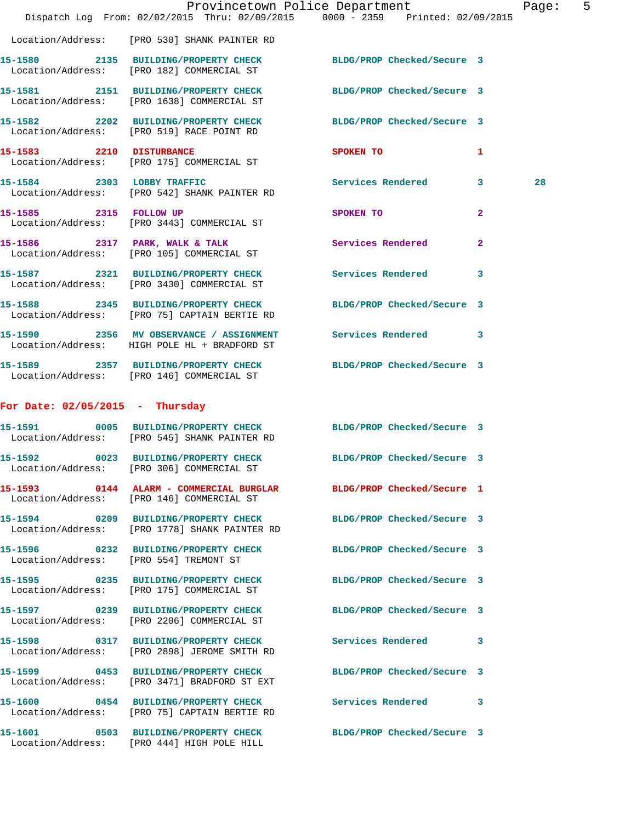|                                   | Dispatch Log From: 02/02/2015 Thru: 02/09/2015 0000 - 2359 Printed: 02/09/2015                                  | Provincetown Police Department |                | Page: | 5 |
|-----------------------------------|-----------------------------------------------------------------------------------------------------------------|--------------------------------|----------------|-------|---|
|                                   | Location/Address: [PRO 530] SHANK PAINTER RD                                                                    |                                |                |       |   |
|                                   | 15-1580 2135 BUILDING/PROPERTY CHECK BLDG/PROP Checked/Secure 3<br>Location/Address: [PRO 182] COMMERCIAL ST    |                                |                |       |   |
|                                   | 15-1581 2151 BUILDING/PROPERTY CHECK<br>Location/Address: [PRO 1638] COMMERCIAL ST                              | BLDG/PROP Checked/Secure 3     |                |       |   |
|                                   | 15-1582 2202 BUILDING/PROPERTY CHECK BLDG/PROP Checked/Secure 3<br>Location/Address: [PRO 519] RACE POINT RD    |                                |                |       |   |
|                                   | 15-1583 2210 DISTURBANCE<br>Location/Address: [PRO 175] COMMERCIAL ST                                           | SPOKEN TO                      | 1              |       |   |
| 15-1584 2303 LOBBY TRAFFIC        | Location/Address: [PRO 542] SHANK PAINTER RD                                                                    | Services Rendered 3            |                | 28    |   |
|                                   | 15-1585 2315 FOLLOW UP<br>Location/Address: [PRO 3443] COMMERCIAL ST                                            | SPOKEN TO                      | $\mathbf{2}$   |       |   |
|                                   | 15-1586 2317 PARK, WALK & TALK<br>Location/Address: [PRO 105] COMMERCIAL ST                                     | Services Rendered              | $\overline{2}$ |       |   |
|                                   | 15-1587 2321 BUILDING/PROPERTY CHECK<br>Location/Address: [PRO 3430] COMMERCIAL ST                              | Services Rendered 3            |                |       |   |
|                                   | 15-1588 2345 BUILDING/PROPERTY CHECK<br>Location/Address: [PRO 75] CAPTAIN BERTIE RD                            | BLDG/PROP Checked/Secure 3     |                |       |   |
|                                   | 15-1590 2356 MV OBSERVANCE / ASSIGNMENT Services Rendered 3<br>Location/Address: HIGH POLE HL + BRADFORD ST     |                                |                |       |   |
|                                   | 15-1589 2357 BUILDING/PROPERTY CHECK BLDG/PROP Checked/Secure 3<br>Location/Address: [PRO 146] COMMERCIAL ST    |                                |                |       |   |
| For Date: $02/05/2015$ - Thursday |                                                                                                                 |                                |                |       |   |
|                                   | 15-1591 0005 BUILDING/PROPERTY CHECK BLDG/PROP Checked/Secure 3<br>Location/Address: [PRO 545] SHANK PAINTER RD |                                |                |       |   |
| 15-1592                           | 0023 BUILDING/PROPERTY CHECK BLDG/PROP Checked/Secure 3<br>Location/Address: [PRO 306] COMMERCIAL ST            |                                |                |       |   |
|                                   | 15-1593 0144 ALARM - COMMERCIAL BURGLAR BLDG/PROP Checked/Secure 1<br>Location/Address: [PRO 146] COMMERCIAL ST |                                |                |       |   |
|                                   | 15-1594 0209 BUILDING/PROPERTY CHECK<br>Location/Address: [PRO 1778] SHANK PAINTER RD                           | BLDG/PROP Checked/Secure 3     |                |       |   |
|                                   | 15-1596 0232 BUILDING/PROPERTY CHECK BLDG/PROP Checked/Secure 3<br>Location/Address: [PRO 554] TREMONT ST       |                                |                |       |   |
|                                   | 15-1595 0235 BUILDING/PROPERTY CHECK BLDG/PROP Checked/Secure 3<br>Location/Address: [PRO 175] COMMERCIAL ST    |                                |                |       |   |
|                                   | 15-1597 0239 BUILDING/PROPERTY CHECK<br>Location/Address: [PRO 2206] COMMERCIAL ST                              | BLDG/PROP Checked/Secure 3     |                |       |   |
|                                   | 15-1598 0317 BUILDING/PROPERTY CHECK Services Rendered 3<br>Location/Address: [PRO 2898] JEROME SMITH RD        |                                |                |       |   |
|                                   | 15-1599 0453 BUILDING/PROPERTY CHECK<br>Location/Address: [PRO 3471] BRADFORD ST EXT                            | BLDG/PROP Checked/Secure 3     |                |       |   |
|                                   | 15-1600 0454 BUILDING/PROPERTY CHECK Services Rendered 3<br>Location/Address: [PRO 75] CAPTAIN BERTIE RD        |                                |                |       |   |
|                                   | 15-1601 0503 BUILDING/PROPERTY CHECK BLDG/PROP Checked/Secure 3<br>Location/Address: [PRO 444] HIGH POLE HILL   |                                |                |       |   |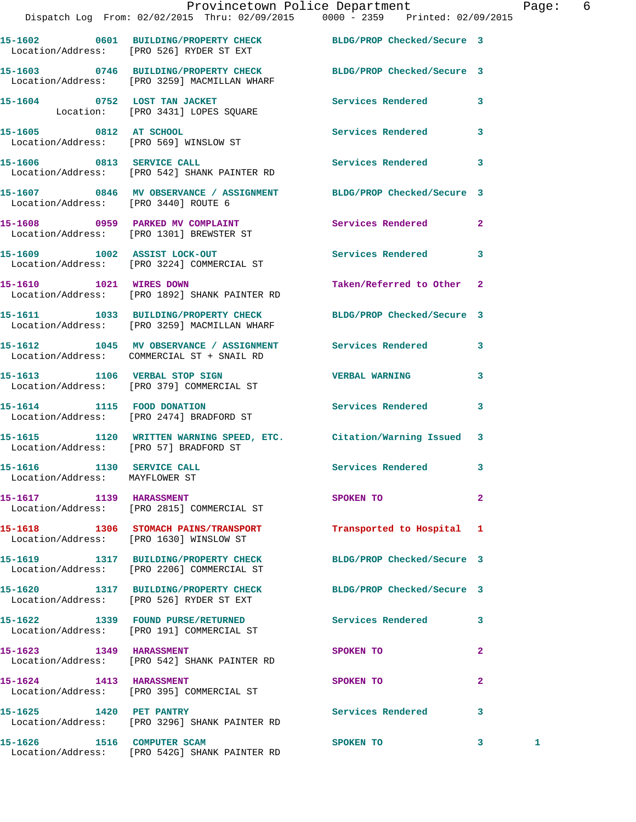|                                                             | Provincetown Police Department<br>Dispatch Log From: 02/02/2015 Thru: 02/09/2015   0000 - 2359   Printed: 02/09/2015 |                                         |                | Page: 6      |  |
|-------------------------------------------------------------|----------------------------------------------------------------------------------------------------------------------|-----------------------------------------|----------------|--------------|--|
|                                                             | 15-1602 0601 BUILDING/PROPERTY CHECK BLDG/PROP Checked/Secure 3<br>Location/Address: [PRO 526] RYDER ST EXT          |                                         |                |              |  |
|                                                             | 15-1603 0746 BUILDING/PROPERTY CHECK BLDG/PROP Checked/Secure 3<br>Location/Address: [PRO 3259] MACMILLAN WHARF      |                                         |                |              |  |
|                                                             | 15-1604 0752 LOST TAN JACKET Services Rendered 3<br>Location: [PRO 3431] LOPES SQUARE                                |                                         |                |              |  |
|                                                             | 15-1605 0812 AT SCHOOL<br>Location/Address: [PRO 569] WINSLOW ST                                                     | Services Rendered 3                     |                |              |  |
|                                                             | 15-1606 0813 SERVICE CALL<br>Location/Address: [PRO 542] SHANK PAINTER RD                                            | Services Rendered 3                     |                |              |  |
| Location/Address: [PRO 3440] ROUTE 6                        | 15-1607 0846 MV OBSERVANCE / ASSIGNMENT BLDG/PROP Checked/Secure 3                                                   |                                         |                |              |  |
|                                                             | 15-1608 0959 PARKED MV COMPLAINT Services Rendered 2<br>Location/Address: [PRO 1301] BREWSTER ST                     |                                         |                |              |  |
|                                                             | 15-1609 1002 ASSIST LOCK-OUT 1000 Services Rendered 3<br>Location/Address: [PRO 3224] COMMERCIAL ST                  |                                         |                |              |  |
|                                                             | 15-1610 1021 WIRES DOWN<br>Location/Address: [PRO 1892] SHANK PAINTER RD                                             | Taken/Referred to Other 2               |                |              |  |
|                                                             | 15-1611 1033 BUILDING/PROPERTY CHECK BLDG/PROP Checked/Secure 3<br>Location/Address: [PRO 3259] MACMILLAN WHARF      |                                         |                |              |  |
|                                                             | 15-1612 1045 MV OBSERVANCE / ASSIGNMENT Services Rendered 3<br>Location/Address: COMMERCIAL ST + SNAIL RD            |                                         |                |              |  |
|                                                             | 15-1613 1106 VERBAL STOP SIGN<br>Location/Address: [PRO 379] COMMERCIAL ST                                           | <b>VERBAL WARNING</b>                   | $\mathbf{3}$   |              |  |
|                                                             | 15-1614 1115 FOOD DONATION<br>Location/Address: [PRO 2474] BRADFORD ST                                               | Services Rendered 3                     |                |              |  |
| Location/Address: [PRO 57] BRADFORD ST                      | 15-1615 1120 WRITTEN WARNING SPEED, ETC. Citation/Warning Issued 3                                                   |                                         |                |              |  |
| 15-1616 1130 SERVICE CALL<br>Location/Address: MAYFLOWER ST |                                                                                                                      | Services Rendered 3                     |                |              |  |
| 15-1617 1139 HARASSMENT                                     | Location/Address: [PRO 2815] COMMERCIAL ST                                                                           | SPOKEN TO DESCRIPTION OF REAL PROPERTY. | $\overline{2}$ |              |  |
|                                                             | 15-1618 1306 STOMACH PAINS/TRANSPORT<br>Location/Address: [PRO 1630] WINSLOW ST                                      | Transported to Hospital 1               |                |              |  |
|                                                             | 15-1619 1317 BUILDING/PROPERTY CHECK BLDG/PROP Checked/Secure 3<br>Location/Address: [PRO 2206] COMMERCIAL ST        |                                         |                |              |  |
|                                                             | 15-1620 1317 BUILDING/PROPERTY CHECK BLDG/PROP Checked/Secure 3<br>Location/Address: [PRO 526] RYDER ST EXT          |                                         |                |              |  |
|                                                             | 15-1622 1339 FOUND PURSE/RETURNED<br>Location/Address: [PRO 191] COMMERCIAL ST                                       | Services Rendered 3                     |                |              |  |
| 15-1623 1349 HARASSMENT                                     | Location/Address: [PRO 542] SHANK PAINTER RD                                                                         | SPOKEN TO                               | $\mathbf{2}$   |              |  |
| 15-1624 1413 HARASSMENT                                     | Location/Address: [PRO 395] COMMERCIAL ST                                                                            | SPOKEN TO                               | $\mathbf{2}$   |              |  |
|                                                             | 15-1625    1420    PET PANTRY<br>Location/Address: [PRO 3296] SHANK PAINTER RD                                       | Services Rendered 3                     |                |              |  |
| 15-1626 1516 COMPUTER SCAM                                  |                                                                                                                      | SPOKEN TO                               | $\mathbf{3}$   | $\mathbf{1}$ |  |

Location/Address: [PRO 542G] SHANK PAINTER RD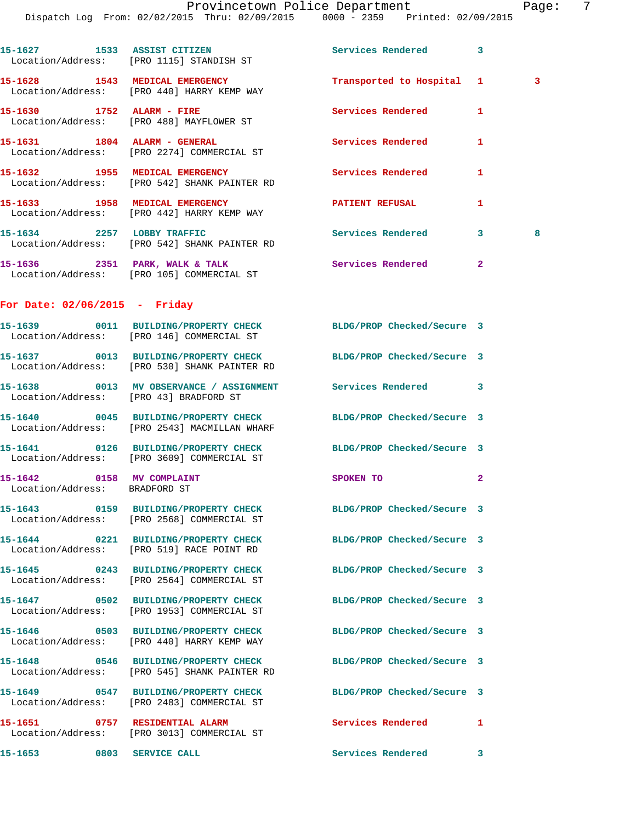Provincetown Police Department Page: 7 Dispatch Log From: 02/02/2015 Thru: 02/09/2015 0000 - 2359 Printed: 02/09/2015 **15-1627 1533 ASSIST CITIZEN Services Rendered 3**  Location/Address: [PRO 1115] STANDISH ST **15-1628 1543 MEDICAL EMERGENCY Transported to Hospital 1 3**  Location/Address: [PRO 440] HARRY KEMP WAY **15-1630 1752 ALARM - FIRE Services Rendered 1**  Location/Address: [PRO 488] MAYFLOWER ST **15-1631 1804 ALARM - GENERAL Services Rendered 1**  Location/Address: [PRO 2274] COMMERCIAL ST **15-1632 1955 MEDICAL EMERGENCY Services Rendered 1**  Location/Address: [PRO 542] SHANK PAINTER RD 15-1633 1958 MEDICAL EMERGENCY **1958 PATIENT REFUSAL** 1 Location/Address: [PRO 442] HARRY KEMP WAY **15-1634 2257 LOBBY TRAFFIC Services Rendered 3 8**  Location/Address: [PRO 542] SHANK PAINTER RD **15-1636 2351 PARK, WALK & TALK Services Rendered 2**  Location/Address: [PRO 105] COMMERCIAL ST **For Date: 02/06/2015 - Friday 15-1639 0011 BUILDING/PROPERTY CHECK BLDG/PROP Checked/Secure 3**  Location/Address: [PRO 146] COMMERCIAL ST **15-1637 0013 BUILDING/PROPERTY CHECK BLDG/PROP Checked/Secure 3**  Location/Address: [PRO 530] SHANK PAINTER RD **15-1638 0013 MV OBSERVANCE / ASSIGNMENT Services Rendered 3**  Location/Address: [PRO 43] BRADFORD ST **15-1640 0045 BUILDING/PROPERTY CHECK BLDG/PROP Checked/Secure 3**  Location/Address: [PRO 2543] MACMILLAN WHARF **15-1641 0126 BUILDING/PROPERTY CHECK BLDG/PROP Checked/Secure 3**  Location/Address: [PRO 3609] COMMERCIAL ST **15-1642 0158 MV COMPLAINT SPOKEN TO 2**  Location/Address: BRADFORD ST **15-1643 0159 BUILDING/PROPERTY CHECK BLDG/PROP Checked/Secure 3**  Location/Address: [PRO 2568] COMMERCIAL ST **15-1644 0221 BUILDING/PROPERTY CHECK BLDG/PROP Checked/Secure 3**  Location/Address: [PRO 519] RACE POINT RD **15-1645 0243 BUILDING/PROPERTY CHECK BLDG/PROP Checked/Secure 3**  Location/Address: [PRO 2564] COMMERCIAL ST **15-1647 0502 BUILDING/PROPERTY CHECK BLDG/PROP Checked/Secure 3**  Location/Address: [PRO 1953] COMMERCIAL ST **15-1646 0503 BUILDING/PROPERTY CHECK BLDG/PROP Checked/Secure 3**  Location/Address: [PRO 440] HARRY KEMP WAY

 Location/Address: [PRO 545] SHANK PAINTER RD **15-1649 0547 BUILDING/PROPERTY CHECK BLDG/PROP Checked/Secure 3**  Location/Address: [PRO 2483] COMMERCIAL ST

Location/Address: [PRO 3013] COMMERCIAL ST

**15-1653 0803 SERVICE CALL Services Rendered 3** 

**15-1648 0546 BUILDING/PROPERTY CHECK BLDG/PROP Checked/Secure 3 15-1651 0757 RESIDENTIAL ALARM Services Rendered 1**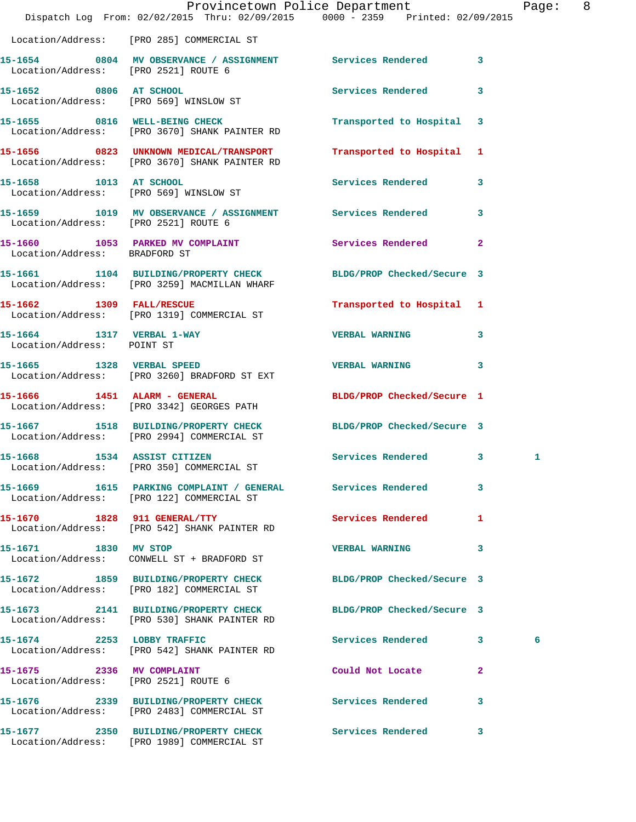|                                                         | Dispatch Log From: 02/02/2015 Thru: 02/09/2015 0000 - 2359 Printed: 02/09/2015                                  | Provincetown Police Department |              | Page: | - 8 |
|---------------------------------------------------------|-----------------------------------------------------------------------------------------------------------------|--------------------------------|--------------|-------|-----|
|                                                         | Location/Address: [PRO 285] COMMERCIAL ST                                                                       |                                |              |       |     |
|                                                         | 15-1654 0804 MV OBSERVANCE / ASSIGNMENT Services Rendered 3<br>Location/Address: [PRO 2521] ROUTE 6             |                                |              |       |     |
|                                                         | 15-1652 0806 AT SCHOOL<br>Location/Address: [PRO 569] WINSLOW ST                                                | Services Rendered 3            |              |       |     |
|                                                         | 15-1655 0816 WELL-BEING CHECK<br>Location/Address: [PRO 3670] SHANK PAINTER RD                                  | Transported to Hospital 3      |              |       |     |
|                                                         | 15-1656 0823 UNKNOWN MEDICAL/TRANSPORT<br>Location/Address: [PRO 3670] SHANK PAINTER RD                         | Transported to Hospital 1      |              |       |     |
| 15-1658 1013 AT SCHOOL                                  | Location/Address: [PRO 569] WINSLOW ST                                                                          | Services Rendered 3            |              |       |     |
| Location/Address: [PRO 2521] ROUTE 6                    | 15-1659 1019 MV OBSERVANCE / ASSIGNMENT Services Rendered 3                                                     |                                |              |       |     |
| Location/Address: BRADFORD ST                           | 15-1660 1053 PARKED MV COMPLAINT Services Rendered 2                                                            |                                |              |       |     |
|                                                         | 15-1661 1104 BUILDING/PROPERTY CHECK<br>Location/Address: [PRO 3259] MACMILLAN WHARF                            | BLDG/PROP Checked/Secure 3     |              |       |     |
| 15-1662 1309 FALL/RESCUE                                | Location/Address: [PRO 1319] COMMERCIAL ST                                                                      | Transported to Hospital 1      |              |       |     |
| 15-1664 1317 VERBAL 1-WAY<br>Location/Address: POINT ST |                                                                                                                 | <b>VERBAL WARNING</b>          | $\mathbf{3}$ |       |     |
|                                                         | 15-1665 1328 VERBAL SPEED<br>Location/Address: [PRO 3260] BRADFORD ST EXT                                       | <b>VERBAL WARNING</b>          | 3            |       |     |
|                                                         | 15-1666   1451   ALARM - GENERAL<br>Location/Address: [PRO 3342] GEORGES PATH                                   | BLDG/PROP Checked/Secure 1     |              |       |     |
|                                                         | 15-1667 1518 BUILDING/PROPERTY CHECK<br>Location/Address: [PRO 2994] COMMERCIAL ST                              | BLDG/PROP Checked/Secure 3     |              |       |     |
| 15-1668 1534 ASSIST CITIZEN                             | Location/Address: [PRO 350] COMMERCIAL ST                                                                       | Services Rendered 3            |              | 1     |     |
|                                                         | 15-1669 1615 PARKING COMPLAINT / GENERAL Services Rendered 3<br>Location/Address: [PRO 122] COMMERCIAL ST       |                                |              |       |     |
|                                                         | 15-1670 1828 911 GENERAL/TTY<br>Location/Address: [PRO 542] SHANK PAINTER RD                                    | Services Rendered 1            |              |       |     |
| 15-1671 1830 MV STOP                                    | Location/Address: CONWELL ST + BRADFORD ST                                                                      | VERBAL WARNING 3               |              |       |     |
|                                                         | 15-1672 1859 BUILDING/PROPERTY CHECK<br>Location/Address: [PRO 182] COMMERCIAL ST                               | BLDG/PROP Checked/Secure 3     |              |       |     |
|                                                         | 15-1673 2141 BUILDING/PROPERTY CHECK BLDG/PROP Checked/Secure 3<br>Location/Address: [PRO 530] SHANK PAINTER RD |                                |              |       |     |
|                                                         | 15-1674 2253 LOBBY TRAFFIC<br>Location/Address: [PRO 542] SHANK PAINTER RD                                      | Services Rendered 3            |              | 6     |     |
| 15-1675 2336 MV COMPLAINT                               | Location/Address: [PRO 2521] ROUTE 6                                                                            | Could Not Locate               | $\mathbf{2}$ |       |     |
|                                                         | 15-1676  2339 BUILDING/PROPERTY CHECK Services Rendered 3<br>Location/Address: [PRO 2483] COMMERCIAL ST         |                                |              |       |     |
|                                                         | 15-1677 2350 BUILDING/PROPERTY CHECK<br>Location/Address: [PRO 1989] COMMERCIAL ST                              | <b>Services Rendered</b> 3     |              |       |     |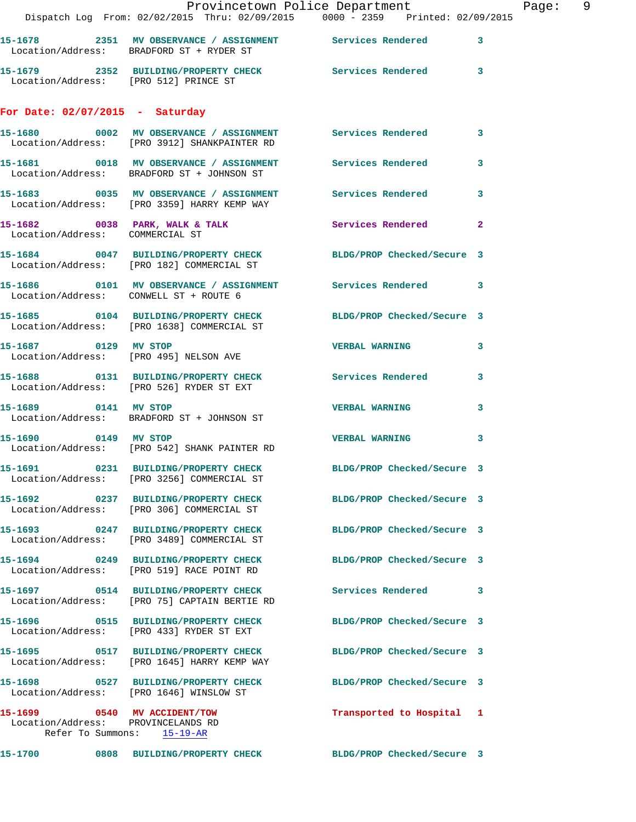|                                                                    | Provincetown Police Department<br>Dispatch Log From: 02/02/2015 Thru: 02/09/2015 0000 - 2359 Printed: 02/09/2015 |                            |                |
|--------------------------------------------------------------------|------------------------------------------------------------------------------------------------------------------|----------------------------|----------------|
|                                                                    | 15-1678 2351 MV OBSERVANCE / ASSIGNMENT Services Rendered<br>Location/Address: BRADFORD ST + RYDER ST            |                            | 3              |
| Location/Address: [PRO 512] PRINCE ST                              | 15-1679 2352 BUILDING/PROPERTY CHECK Services Rendered                                                           |                            | 3              |
| For Date: $02/07/2015$ - Saturday                                  |                                                                                                                  |                            |                |
|                                                                    | 15-1680 6002 MV OBSERVANCE / ASSIGNMENT Services Rendered<br>Location/Address: [PRO 3912] SHANKPAINTER RD        |                            | 3              |
|                                                                    | 15-1681  0018 MV OBSERVANCE / ASSIGNMENT Services Rendered<br>Location/Address: BRADFORD ST + JOHNSON ST         |                            | 3              |
|                                                                    | 15-1683 6035 MV OBSERVANCE / ASSIGNMENT Services Rendered<br>Location/Address: [PRO 3359] HARRY KEMP WAY         |                            | 3              |
| Location/Address: COMMERCIAL ST                                    | 15-1682 0038 PARK, WALK & TALK 3 Services Rendered                                                               |                            | $\overline{2}$ |
|                                                                    | 15-1684 0047 BUILDING/PROPERTY CHECK BLDG/PROP Checked/Secure 3<br>Location/Address: [PRO 182] COMMERCIAL ST     |                            |                |
| Location/Address: CONWELL ST + ROUTE 6                             |                                                                                                                  |                            | 3              |
|                                                                    | 15-1685 0104 BUILDING/PROPERTY CHECK<br>Location/Address: [PRO 1638] COMMERCIAL ST                               | BLDG/PROP Checked/Secure 3 |                |
| 15-1687 0129 MV STOP                                               | Location/Address: [PRO 495] NELSON AVE                                                                           | <b>VERBAL WARNING</b>      | 3              |
|                                                                    | 15-1688 0131 BUILDING/PROPERTY CHECK Services Rendered<br>Location/Address: [PRO 526] RYDER ST EXT               |                            | 3              |
| 15-1689 0141 MV STOP                                               | Location/Address: BRADFORD ST + JOHNSON ST                                                                       | <b>VERBAL WARNING</b>      | 3              |
| 15-1690 0149 MV STOP                                               | Location/Address: [PRO 542] SHANK PAINTER RD                                                                     | <b>VERBAL WARNING</b>      | 3              |
|                                                                    | 15-1691 0231 BUILDING/PROPERTY CHECK<br>Location/Address: [PRO 3256] COMMERCIAL ST                               | BLDG/PROP Checked/Secure 3 |                |
|                                                                    | 15-1692 0237 BUILDING/PROPERTY CHECK<br>Location/Address: [PRO 306] COMMERCIAL ST                                | BLDG/PROP Checked/Secure 3 |                |
|                                                                    | 15-1693 0247 BUILDING/PROPERTY CHECK<br>Location/Address: [PRO 3489] COMMERCIAL ST                               | BLDG/PROP Checked/Secure 3 |                |
|                                                                    | 15-1694 0249 BUILDING/PROPERTY CHECK<br>Location/Address: [PRO 519] RACE POINT RD                                | BLDG/PROP Checked/Secure 3 |                |
|                                                                    | Location/Address: [PRO 75] CAPTAIN BERTIE RD                                                                     | Services Rendered          | 3              |
|                                                                    | 15-1696 0515 BUILDING/PROPERTY CHECK<br>Location/Address: [PRO 433] RYDER ST EXT                                 | BLDG/PROP Checked/Secure 3 |                |
|                                                                    | 15-1695 0517 BUILDING/PROPERTY CHECK<br>Location/Address: [PRO 1645] HARRY KEMP WAY                              | BLDG/PROP Checked/Secure 3 |                |
| Location/Address: [PRO 1646] WINSLOW ST                            | 15-1698 0527 BUILDING/PROPERTY CHECK                                                                             | BLDG/PROP Checked/Secure 3 |                |
| 15-1699 0540 MV ACCIDENT/TOW<br>Location/Address: PROVINCELANDS RD | Refer To Summons: 15-19-AR                                                                                       | Transported to Hospital 1  |                |
|                                                                    | 15-1700 0808 BUILDING/PROPERTY CHECK                                                                             | BLDG/PROP Checked/Secure 3 |                |

Page: 9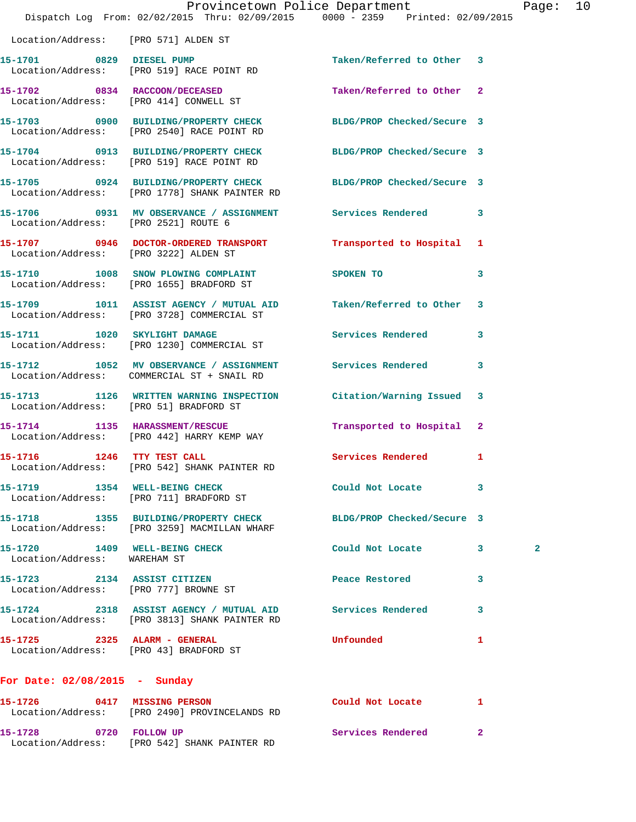|                                        | Dispatch Log From: 02/02/2015 Thru: 02/09/2015 0000 - 2359 Printed: 02/09/2015                                   | Provincetown Police Department |    | Page: 10     |  |
|----------------------------------------|------------------------------------------------------------------------------------------------------------------|--------------------------------|----|--------------|--|
| Location/Address: [PRO 571] ALDEN ST   |                                                                                                                  |                                |    |              |  |
|                                        | 15-1701 0829 DIESEL PUMP<br>Location/Address: [PRO 519] RACE POINT RD                                            | Taken/Referred to Other 3      |    |              |  |
|                                        | 15-1702 0834 RACCOON/DECEASED<br>Location/Address: [PRO 414] CONWELL ST                                          | Taken/Referred to Other 2      |    |              |  |
|                                        | 15-1703 0900 BUILDING/PROPERTY CHECK BLDG/PROP Checked/Secure 3<br>Location/Address: [PRO 2540] RACE POINT RD    |                                |    |              |  |
|                                        | 15-1704 0913 BUILDING/PROPERTY CHECK BLDG/PROP Checked/Secure 3<br>Location/Address: [PRO 519] RACE POINT RD     |                                |    |              |  |
|                                        | 15-1705 0924 BUILDING/PROPERTY CHECK BLDG/PROP Checked/Secure 3<br>Location/Address: [PRO 1778] SHANK PAINTER RD |                                |    |              |  |
| Location/Address: [PRO 2521] ROUTE 6   | 15-1706 0931 MV OBSERVANCE / ASSIGNMENT Services Rendered 3                                                      |                                |    |              |  |
| Location/Address: [PRO 3222] ALDEN ST  | 15-1707 0946 DOCTOR-ORDERED TRANSPORT Transported to Hospital 1                                                  |                                |    |              |  |
|                                        | 15-1710 1008 SNOW PLOWING COMPLAINT SPOKEN TO<br>Location/Address: [PRO 1655] BRADFORD ST                        |                                | 3  |              |  |
|                                        | 15-1709 1011 ASSIST AGENCY / MUTUAL AID Taken/Referred to Other 3<br>Location/Address: [PRO 3728] COMMERCIAL ST  |                                |    |              |  |
|                                        | 15-1711 1020 SKYLIGHT DAMAGE<br>Location/Address: [PRO 1230] COMMERCIAL ST                                       | Services Rendered 3            |    |              |  |
|                                        | 15-1712 1052 MV OBSERVANCE / ASSIGNMENT Services Rendered 3<br>Location/Address: COMMERCIAL ST + SNAIL RD        |                                |    |              |  |
| Location/Address: [PRO 51] BRADFORD ST | 15-1713 1126 WRITTEN WARNING INSPECTION Citation/Warning Issued 3                                                |                                |    |              |  |
|                                        | 15-1714 1135 HARASSMENT/RESCUE<br>Location/Address: [PRO 442] HARRY KEMP WAY                                     | Transported to Hospital 2      |    |              |  |
| 15-1716 1246 TTY TEST CALL             | Location/Address: [PRO 542] SHANK PAINTER RD                                                                     | Services Rendered 1            |    |              |  |
|                                        | 15-1719 1354 WELL-BEING CHECK<br>Location/Address: [PRO 711] BRADFORD ST                                         | Could Not Locate 3             |    |              |  |
|                                        | 15-1718 1355 BUILDING/PROPERTY CHECK BLDG/PROP Checked/Secure 3<br>Location/Address: [PRO 3259] MACMILLAN WHARF  |                                |    |              |  |
| Location/Address: WAREHAM ST           | 15-1720 1409 WELL-BEING CHECK COULD Not Locate 3                                                                 |                                |    | $\mathbf{2}$ |  |
| Location/Address: [PRO 777] BROWNE ST  | 15-1723 2134 ASSIST CITIZEN                                                                                      | Peace Restored 3               |    |              |  |
|                                        | 15-1724 2318 ASSIST AGENCY / MUTUAL AID Services Rendered 3<br>Location/Address: [PRO 3813] SHANK PAINTER RD     |                                |    |              |  |
| Location/Address: [PRO 43] BRADFORD ST | 15-1725 2325 ALARM - GENERAL                                                                                     | <b>Unfounded</b>               | 1  |              |  |
| For Date: 02/08/2015 - Sunday          |                                                                                                                  |                                |    |              |  |
|                                        | 15-1726 0417 MISSING PERSON<br>Location/Address: [PRO 2490] PROVINCELANDS RD                                     | Could Not Locate               | -1 |              |  |
| 15-1728 0720 FOLLOW UP                 | Location/Address: [PRO 542] SHANK PAINTER RD                                                                     | Services Rendered 2            |    |              |  |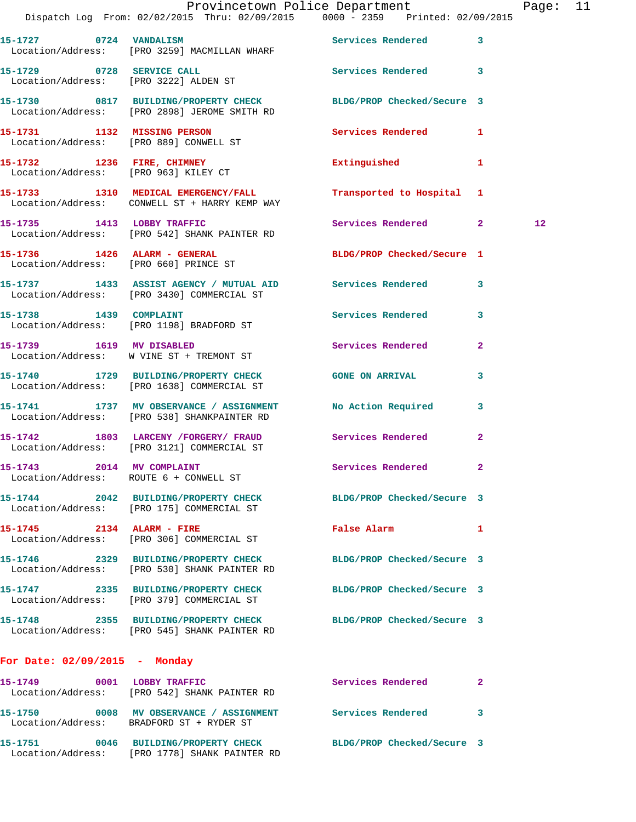|                                 | Dispatch Log From: 02/02/2015 Thru: 02/09/2015 0000 - 2359 Printed: 02/09/2015                                   | Provincetown Police Department                                                                                 |              | Page: 11 |  |
|---------------------------------|------------------------------------------------------------------------------------------------------------------|----------------------------------------------------------------------------------------------------------------|--------------|----------|--|
|                                 | 15-1727 0724 VANDALISM Services Rendered 3<br>Location/Address: [PRO 3259] MACMILLAN WHARF                       |                                                                                                                |              |          |  |
|                                 | 15-1729 0728 SERVICE CALL Services Rendered 3<br>Location/Address: [PRO 3222] ALDEN ST                           |                                                                                                                |              |          |  |
|                                 | 15-1730 0817 BUILDING/PROPERTY CHECK BLDG/PROP Checked/Secure 3<br>Location/Address: [PRO 2898] JEROME SMITH RD  |                                                                                                                |              |          |  |
|                                 | 15-1731 1132 MISSING PERSON<br>Location/Address: [PRO 889] CONWELL ST                                            | Services Rendered 1                                                                                            |              |          |  |
|                                 | 15-1732 1236 FIRE, CHIMNEY<br>Location/Address: [PRO 963] KILEY CT                                               | Extinguished 1                                                                                                 |              |          |  |
|                                 | 15-1733 1310 MEDICAL EMERGENCY/FALL<br>Location/Address: CONWELL ST + HARRY KEMP WAY                             | Transported to Hospital 1                                                                                      |              |          |  |
|                                 | 15-1735 1413 LOBBY TRAFFIC<br>Location/Address: [PRO 542] SHANK PAINTER RD                                       | Services Rendered 2                                                                                            |              | 12       |  |
|                                 | 15-1736    1426    ALARM - GENERAL<br>Location/Address: [PRO 660] PRINCE ST                                      | BLDG/PROP Checked/Secure 1                                                                                     |              |          |  |
|                                 | 15-1737 1433 ASSIST AGENCY / MUTUAL AID Services Rendered 3<br>Location/Address: [PRO 3430] COMMERCIAL ST        |                                                                                                                |              |          |  |
|                                 | 15-1738 1439 COMPLAINT<br>Location/Address: [PRO 1198] BRADFORD ST                                               | Services Rendered                                                                                              | 3            |          |  |
|                                 | 15-1739 1619 MV DISABLED<br>Location/Address: W VINE ST + TREMONT ST                                             | Services Rendered 2                                                                                            |              |          |  |
|                                 | 15-1740 1729 BUILDING/PROPERTY CHECK GONE ON ARRIVAL<br>Location/Address: [PRO 1638] COMMERCIAL ST               |                                                                                                                | 3            |          |  |
|                                 | 15-1741 1737 MV OBSERVANCE / ASSIGNMENT No Action Required 3<br>Location/Address: [PRO 538] SHANKPAINTER RD      |                                                                                                                |              |          |  |
|                                 | 15-1742 1803 LARCENY /FORGERY/ FRAUD Services Rendered 2<br>Location/Address: [PRO 3121] COMMERCIAL ST           |                                                                                                                |              |          |  |
| 15-1743 2014 MV COMPLAINT       | Location/Address: ROUTE 6 + CONWELL ST                                                                           | Services Rendered 2                                                                                            |              |          |  |
|                                 | 15-1744 2042 BUILDING/PROPERTY CHECK BLDG/PROP Checked/Secure 3<br>Location/Address: [PRO 175] COMMERCIAL ST     |                                                                                                                |              |          |  |
|                                 | 15-1745 2134 ALARM - FIRE<br>Location/Address: [PRO 306] COMMERCIAL ST                                           | False Alarm and the state of the state of the state of the state of the state of the state of the state of the | $\mathbf{1}$ |          |  |
|                                 | 15-1746 2329 BUILDING/PROPERTY CHECK BLDG/PROP Checked/Secure 3<br>Location/Address: [PRO 530] SHANK PAINTER RD  |                                                                                                                |              |          |  |
|                                 | 15-1747 2335 BUILDING/PROPERTY CHECK BLDG/PROP Checked/Secure 3<br>Location/Address: [PRO 379] COMMERCIAL ST     |                                                                                                                |              |          |  |
|                                 | 15-1748 2355 BUILDING/PROPERTY CHECK BLDG/PROP Checked/Secure 3<br>Location/Address: [PRO 545] SHANK PAINTER RD  |                                                                                                                |              |          |  |
| For Date: $02/09/2015$ - Monday |                                                                                                                  |                                                                                                                |              |          |  |
|                                 | 15-1749 0001 LOBBY TRAFFIC<br>Location/Address: [PRO 542] SHANK PAINTER RD                                       | Services Rendered                                                                                              | 2            |          |  |
|                                 | 15-1750 0008 MV OBSERVANCE / ASSIGNMENT Services Rendered 3<br>Location/Address: BRADFORD ST + RYDER ST          |                                                                                                                |              |          |  |
|                                 | 15-1751 0046 BUILDING/PROPERTY CHECK BLDG/PROP Checked/Secure 3<br>Location/Address: [PRO 1778] SHANK PAINTER RD |                                                                                                                |              |          |  |